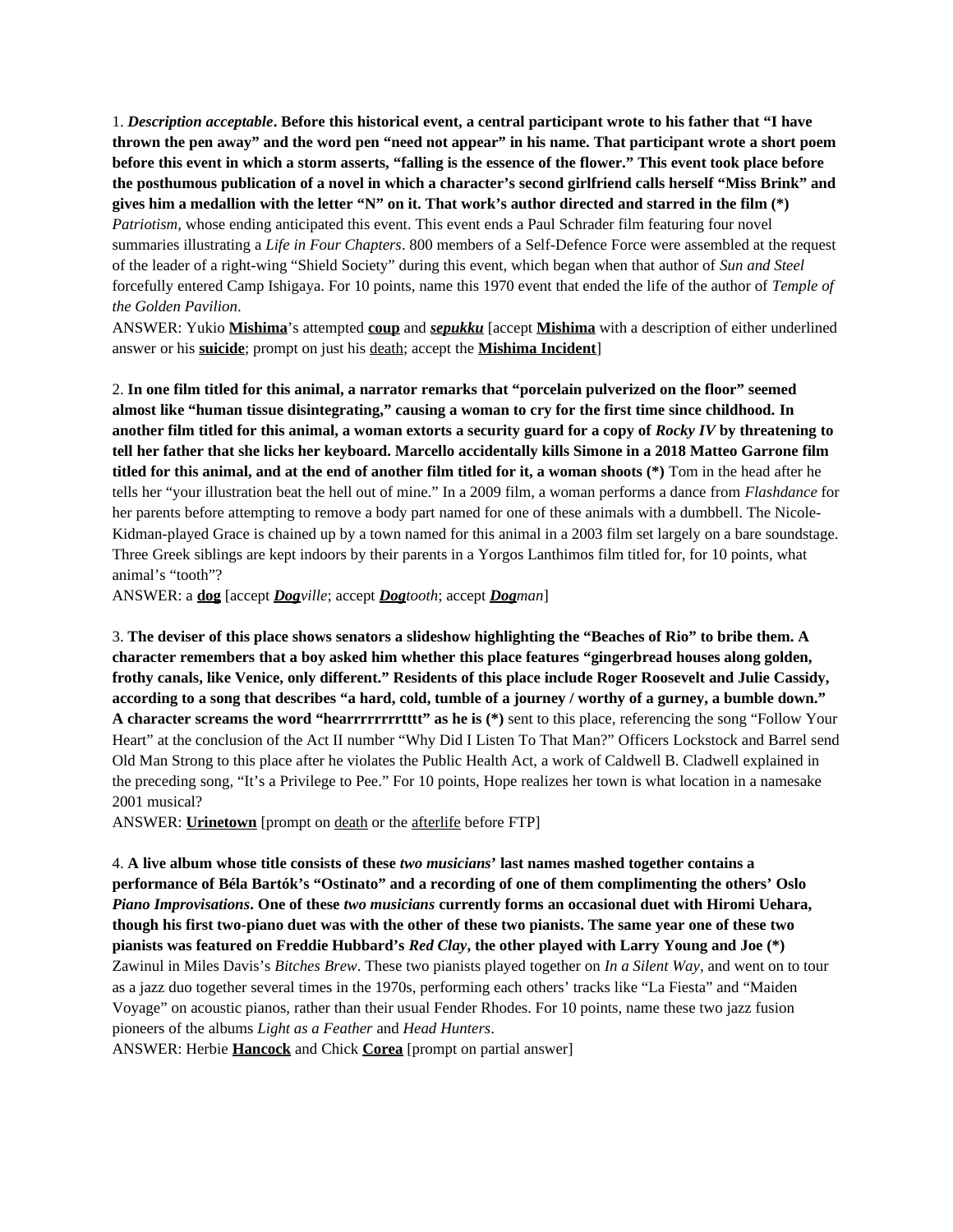1. *Description acceptable***. Before this historical event, a central participant wrote to his father that "I have thrown the pen away" and the word pen "need not appear" in his name. That participant wrote a short poem before this event in which a storm asserts, "falling is the essence of the flower." This event took place before the posthumous publication of a novel in which a character's second girlfriend calls herself "Miss Brink" and gives him a medallion with the letter "N" on it. That work's author directed and starred in the film (\*)** *Patriotism*, whose ending anticipated this event. This event ends a Paul Schrader film featuring four novel summaries illustrating a *Life in Four Chapters*. 800 members of a Self-Defence Force were assembled at the request of the leader of a right-wing "Shield Society" during this event, which began when that author of *Sun and Steel* forcefully entered Camp Ishigaya. For 10 points, name this 1970 event that ended the life of the author of *Temple of the Golden Pavilion*.

ANSWER: Yukio **Mishima**'s attempted **coup** and *sepukku* [accept **Mishima** with a description of either underlined answer or his **suicide**; prompt on just his death; accept the **Mishima Incident**]

2. **In one film titled for this animal, a narrator remarks that "porcelain pulverized on the floor" seemed almost like "human tissue disintegrating," causing a woman to cry for the first time since childhood. In another film titled for this animal, a woman extorts a security guard for a copy of** *Rocky IV* **by threatening to tell her father that she licks her keyboard. Marcello accidentally kills Simone in a 2018 Matteo Garrone film titled for this animal, and at the end of another film titled for it, a woman shoots (\*)** Tom in the head after he tells her "your illustration beat the hell out of mine." In a 2009 film, a woman performs a dance from *Flashdance* for her parents before attempting to remove a body part named for one of these animals with a dumbbell. The Nicole-Kidman-played Grace is chained up by a town named for this animal in a 2003 film set largely on a bare soundstage. Three Greek siblings are kept indoors by their parents in a Yorgos Lanthimos film titled for, for 10 points, what animal's "tooth"?

ANSWER: a **dog** [accept *Dogville*; accept *Dogtooth*; accept *Dogman*]

3. **The deviser of this place shows senators a slideshow highlighting the "Beaches of Rio" to bribe them. A character remembers that a boy asked him whether this place features "gingerbread houses along golden, frothy canals, like Venice, only different." Residents of this place include Roger Roosevelt and Julie Cassidy, according to a song that describes "a hard, cold, tumble of a journey / worthy of a gurney, a bumble down." A character screams the word "hearrrrrrrrtttt" as he is (\*)** sent to this place, referencing the song "Follow Your Heart" at the conclusion of the Act II number "Why Did I Listen To That Man?" Officers Lockstock and Barrel send Old Man Strong to this place after he violates the Public Health Act, a work of Caldwell B. Cladwell explained in the preceding song, "It's a Privilege to Pee." For 10 points, Hope realizes her town is what location in a namesake 2001 musical?

ANSWER: **Urinetown** [prompt on death or the afterlife before FTP]

4. **A live album whose title consists of these** *two musicians***' last names mashed together contains a performance of Béla Bartók's "Ostinato" and a recording of one of them complimenting the others' Oslo**  *Piano Improvisations***. One of these** *two musicians* **currently forms an occasional duet with Hiromi Uehara, though his first two-piano duet was with the other of these two pianists. The same year one of these two pianists was featured on Freddie Hubbard's** *Red Clay***, the other played with Larry Young and Joe (\*)**  Zawinul in Miles Davis's *Bitches Brew*. These two pianists played together on *In a Silent Way*, and went on to tour as a jazz duo together several times in the 1970s, performing each others' tracks like "La Fiesta" and "Maiden Voyage" on acoustic pianos, rather than their usual Fender Rhodes. For 10 points, name these two jazz fusion pioneers of the albums *Light as a Feather* and *Head Hunters*.

ANSWER: Herbie **Hancock** and Chick **Corea** [prompt on partial answer]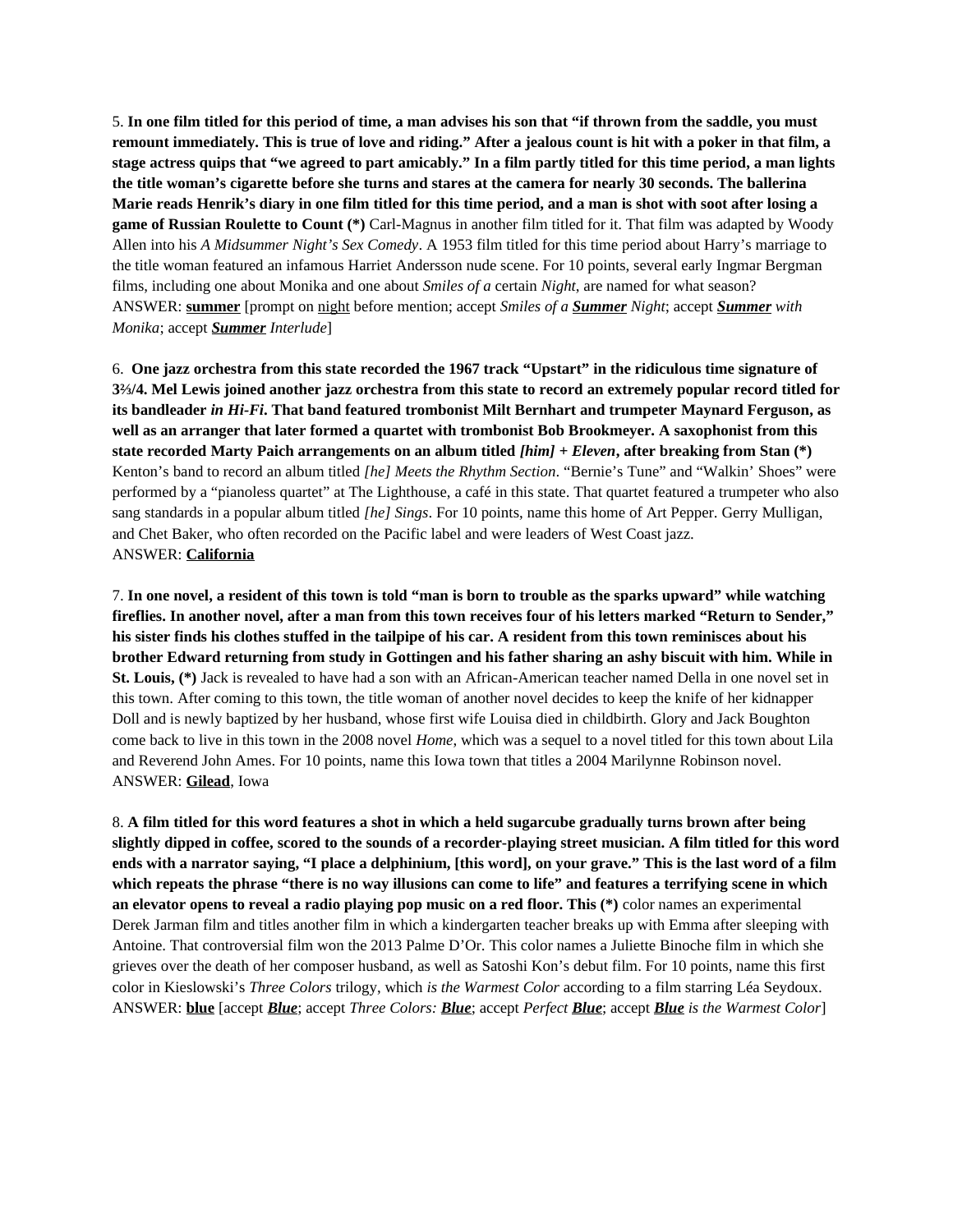5. **In one film titled for this period of time, a man advises his son that "if thrown from the saddle, you must remount immediately. This is true of love and riding." After a jealous count is hit with a poker in that film, a stage actress quips that "we agreed to part amicably." In a film partly titled for this time period, a man lights the title woman's cigarette before she turns and stares at the camera for nearly 30 seconds. The ballerina Marie reads Henrik's diary in one film titled for this time period, and a man is shot with soot after losing a game of Russian Roulette to Count (\*)** Carl-Magnus in another film titled for it. That film was adapted by Woody Allen into his *A Midsummer Night's Sex Comedy*. A 1953 film titled for this time period about Harry's marriage to the title woman featured an infamous Harriet Andersson nude scene. For 10 points, several early Ingmar Bergman films, including one about Monika and one about *Smiles of a* certain *Night*, are named for what season? ANSWER: **summer** [prompt on night before mention; accept *Smiles of a Summer Night*; accept *Summer with Monika*; accept *Summer Interlude*]

6. **One jazz orchestra from this state recorded the 1967 track "Upstart" in the ridiculous time signature of 3⅔/4. Mel Lewis joined another jazz orchestra from this state to record an extremely popular record titled for its bandleader** *in Hi-Fi***. That band featured trombonist Milt Bernhart and trumpeter Maynard Ferguson, as well as an arranger that later formed a quartet with trombonist Bob Brookmeyer. A saxophonist from this state recorded Marty Paich arrangements on an album titled** *[him] + Eleven***, after breaking from Stan (\*)** Kenton's band to record an album titled *[he] Meets the Rhythm Section*. "Bernie's Tune" and "Walkin' Shoes" were performed by a "pianoless quartet" at The Lighthouse, a café in this state. That quartet featured a trumpeter who also sang standards in a popular album titled *[he] Sings*. For 10 points, name this home of Art Pepper. Gerry Mulligan, and Chet Baker, who often recorded on the Pacific label and were leaders of West Coast jazz. ANSWER: **California**

7. **In one novel, a resident of this town is told "man is born to trouble as the sparks upward" while watching fireflies. In another novel, after a man from this town receives four of his letters marked "Return to Sender," his sister finds his clothes stuffed in the tailpipe of his car. A resident from this town reminisces about his brother Edward returning from study in Gottingen and his father sharing an ashy biscuit with him. While in St. Louis, (\*)** Jack is revealed to have had a son with an African-American teacher named Della in one novel set in this town. After coming to this town, the title woman of another novel decides to keep the knife of her kidnapper Doll and is newly baptized by her husband, whose first wife Louisa died in childbirth. Glory and Jack Boughton come back to live in this town in the 2008 novel *Home*, which was a sequel to a novel titled for this town about Lila and Reverend John Ames. For 10 points, name this Iowa town that titles a 2004 Marilynne Robinson novel. ANSWER: **Gilead**, Iowa

8. **A film titled for this word features a shot in which a held sugarcube gradually turns brown after being slightly dipped in coffee, scored to the sounds of a recorder-playing street musician. A film titled for this word ends with a narrator saying, "I place a delphinium, [this word], on your grave." This is the last word of a film which repeats the phrase "there is no way illusions can come to life" and features a terrifying scene in which an elevator opens to reveal a radio playing pop music on a red floor. This (\*)** color names an experimental Derek Jarman film and titles another film in which a kindergarten teacher breaks up with Emma after sleeping with Antoine. That controversial film won the 2013 Palme D'Or. This color names a Juliette Binoche film in which she grieves over the death of her composer husband, as well as Satoshi Kon's debut film. For 10 points, name this first color in Kieslowski's *Three Colors* trilogy, which *is the Warmest Color* according to a film starring Léa Seydoux. ANSWER: **blue** [accept *Blue*; accept *Three Colors: Blue*; accept *Perfect Blue*; accept *Blue is the Warmest Color*]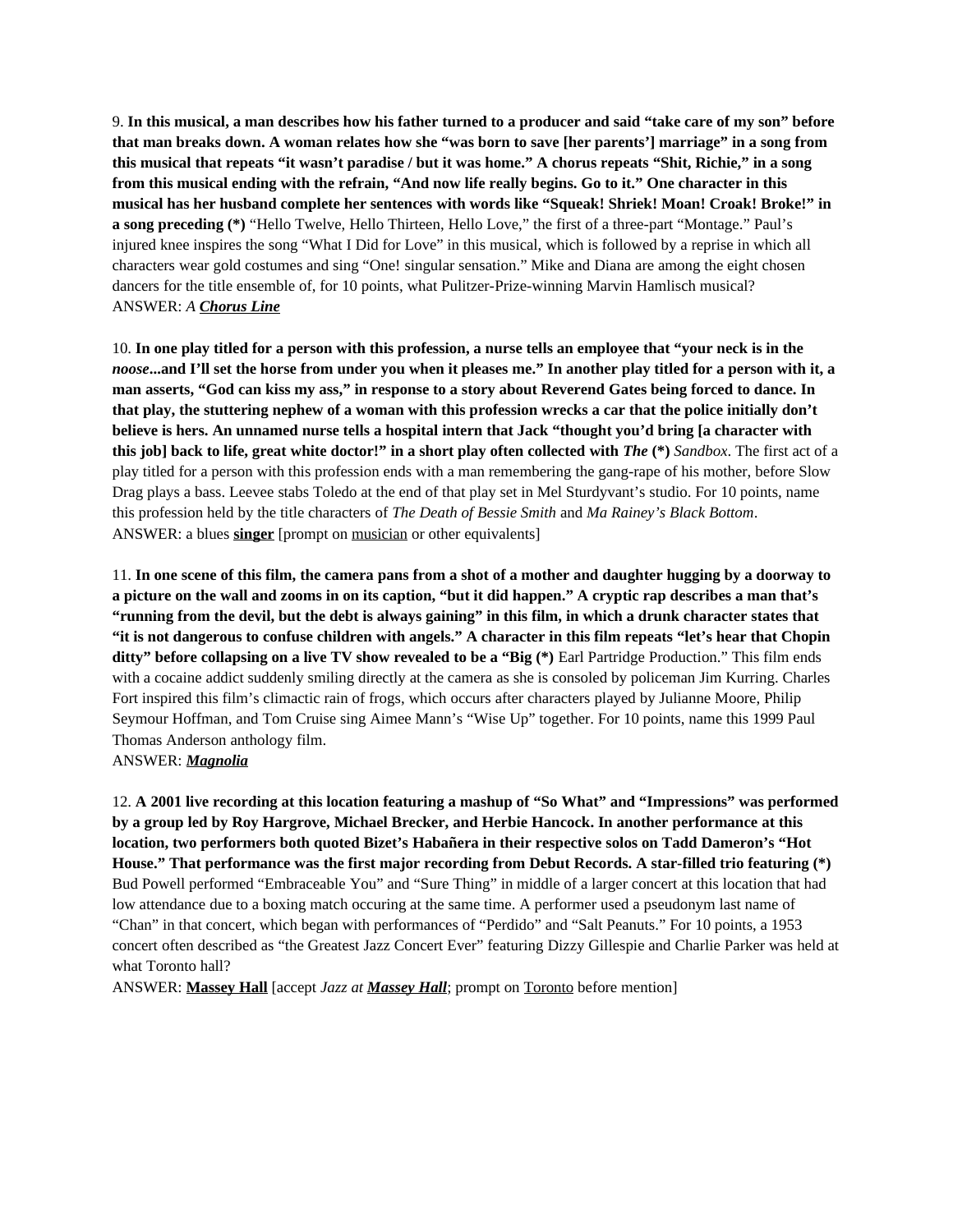9. **In this musical, a man describes how his father turned to a producer and said "take care of my son" before that man breaks down. A woman relates how she "was born to save [her parents'] marriage" in a song from this musical that repeats "it wasn't paradise / but it was home." A chorus repeats "Shit, Richie," in a song from this musical ending with the refrain, "And now life really begins. Go to it." One character in this musical has her husband complete her sentences with words like "Squeak! Shriek! Moan! Croak! Broke!" in a song preceding (\*)** "Hello Twelve, Hello Thirteen, Hello Love," the first of a three-part "Montage." Paul's injured knee inspires the song "What I Did for Love" in this musical, which is followed by a reprise in which all characters wear gold costumes and sing "One! singular sensation." Mike and Diana are among the eight chosen dancers for the title ensemble of, for 10 points, what Pulitzer-Prize-winning Marvin Hamlisch musical? ANSWER: *A Chorus Line*

10. **In one play titled for a person with this profession, a nurse tells an employee that "your neck is in the**  *noose***...and I'll set the horse from under you when it pleases me." In another play titled for a person with it, a man asserts, "God can kiss my ass," in response to a story about Reverend Gates being forced to dance. In that play, the stuttering nephew of a woman with this profession wrecks a car that the police initially don't believe is hers. An unnamed nurse tells a hospital intern that Jack "thought you'd bring [a character with this job] back to life, great white doctor!" in a short play often collected with** *The* **(\*)** *Sandbox*. The first act of a play titled for a person with this profession ends with a man remembering the gang-rape of his mother, before Slow Drag plays a bass. Leevee stabs Toledo at the end of that play set in Mel Sturdyvant's studio. For 10 points, name this profession held by the title characters of *The Death of Bessie Smith* and *Ma Rainey's Black Bottom*. ANSWER: a blues **singer** [prompt on musician or other equivalents]

11. **In one scene of this film, the camera pans from a shot of a mother and daughter hugging by a doorway to a picture on the wall and zooms in on its caption, "but it did happen." A cryptic rap describes a man that's "running from the devil, but the debt is always gaining" in this film, in which a drunk character states that "it is not dangerous to confuse children with angels." A character in this film repeats "let's hear that Chopin ditty" before collapsing on a live TV show revealed to be a "Big (\*)** Earl Partridge Production." This film ends with a cocaine addict suddenly smiling directly at the camera as she is consoled by policeman Jim Kurring. Charles Fort inspired this film's climactic rain of frogs, which occurs after characters played by Julianne Moore, Philip Seymour Hoffman, and Tom Cruise sing Aimee Mann's "Wise Up" together. For 10 points, name this 1999 Paul Thomas Anderson anthology film. ANSWER: *Magnolia*

12. **A 2001 live recording at this location featuring a mashup of "So What" and "Impressions" was performed by a group led by Roy Hargrove, Michael Brecker, and Herbie Hancock. In another performance at this location, two performers both quoted Bizet's Habañera in their respective solos on Tadd Dameron's "Hot House." That performance was the first major recording from Debut Records. A star-filled trio featuring (\*)**  Bud Powell performed "Embraceable You" and "Sure Thing" in middle of a larger concert at this location that had low attendance due to a boxing match occuring at the same time. A performer used a pseudonym last name of "Chan" in that concert, which began with performances of "Perdido" and "Salt Peanuts." For 10 points, a 1953 concert often described as "the Greatest Jazz Concert Ever" featuring Dizzy Gillespie and Charlie Parker was held at what Toronto hall?

ANSWER: **Massey Hall** [accept *Jazz at Massey Hall*; prompt on Toronto before mention]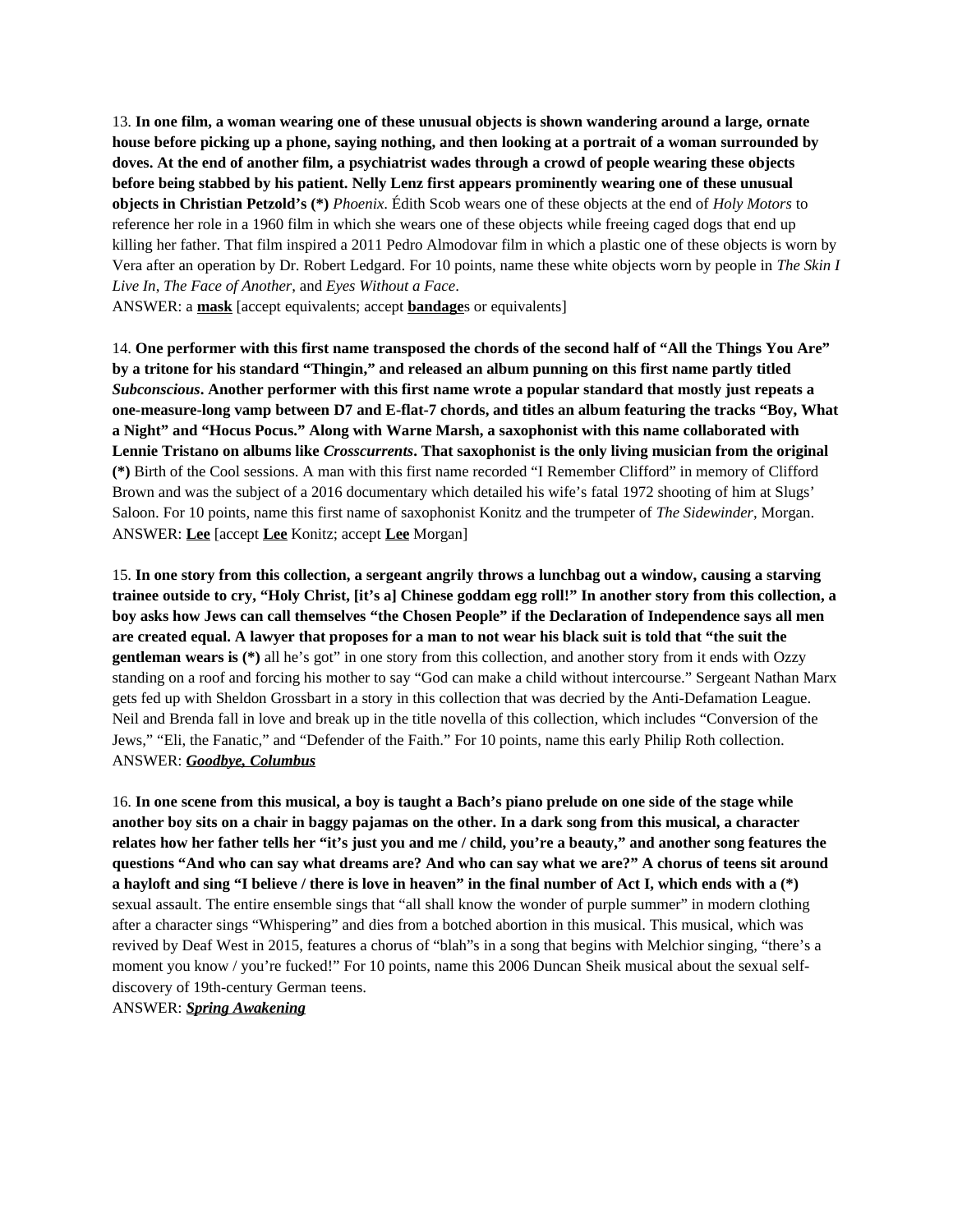13. **In one film, a woman wearing one of these unusual objects is shown wandering around a large, ornate house before picking up a phone, saying nothing, and then looking at a portrait of a woman surrounded by doves. At the end of another film, a psychiatrist wades through a crowd of people wearing these objects before being stabbed by his patient. Nelly Lenz first appears prominently wearing one of these unusual objects in Christian Petzold's (\*)** *Phoenix*. Édith Scob wears one of these objects at the end of *Holy Motors* to reference her role in a 1960 film in which she wears one of these objects while freeing caged dogs that end up killing her father. That film inspired a 2011 Pedro Almodovar film in which a plastic one of these objects is worn by Vera after an operation by Dr. Robert Ledgard. For 10 points, name these white objects worn by people in *The Skin I Live In*, *The Face of Another*, and *Eyes Without a Face*.

ANSWER: a **mask** [accept equivalents; accept **bandage**s or equivalents]

14. **One performer with this first name transposed the chords of the second half of "All the Things You Are" by a tritone for his standard "Thingin," and released an album punning on this first name partly titled**  *Subconscious***. Another performer with this first name wrote a popular standard that mostly just repeats a one-measure-long vamp between D7 and E-flat-7 chords, and titles an album featuring the tracks "Boy, What a Night" and "Hocus Pocus." Along with Warne Marsh, a saxophonist with this name collaborated with Lennie Tristano on albums like** *Crosscurrents***. That saxophonist is the only living musician from the original (\*)** Birth of the Cool sessions. A man with this first name recorded "I Remember Clifford" in memory of Clifford Brown and was the subject of a 2016 documentary which detailed his wife's fatal 1972 shooting of him at Slugs' Saloon. For 10 points, name this first name of saxophonist Konitz and the trumpeter of *The Sidewinder*, Morgan. ANSWER: **Lee** [accept **Lee** Konitz; accept **Lee** Morgan]

15. **In one story from this collection, a sergeant angrily throws a lunchbag out a window, causing a starving trainee outside to cry, "Holy Christ, [it's a] Chinese goddam egg roll!" In another story from this collection, a boy asks how Jews can call themselves "the Chosen People" if the Declaration of Independence says all men are created equal. A lawyer that proposes for a man to not wear his black suit is told that "the suit the gentleman wears is (\*)** all he's got" in one story from this collection, and another story from it ends with Ozzy standing on a roof and forcing his mother to say "God can make a child without intercourse." Sergeant Nathan Marx gets fed up with Sheldon Grossbart in a story in this collection that was decried by the Anti-Defamation League. Neil and Brenda fall in love and break up in the title novella of this collection, which includes "Conversion of the Jews," "Eli, the Fanatic," and "Defender of the Faith." For 10 points, name this early Philip Roth collection. ANSWER: *Goodbye, Columbus*

16. **In one scene from this musical, a boy is taught a Bach's piano prelude on one side of the stage while another boy sits on a chair in baggy pajamas on the other. In a dark song from this musical, a character relates how her father tells her "it's just you and me / child, you're a beauty," and another song features the questions "And who can say what dreams are? And who can say what we are?" A chorus of teens sit around a hayloft and sing "I believe / there is love in heaven" in the final number of Act I, which ends with a (\*)**  sexual assault. The entire ensemble sings that "all shall know the wonder of purple summer" in modern clothing after a character sings "Whispering" and dies from a botched abortion in this musical. This musical, which was revived by Deaf West in 2015, features a chorus of "blah"s in a song that begins with Melchior singing, "there's a moment you know / you're fucked!" For 10 points, name this 2006 Duncan Sheik musical about the sexual selfdiscovery of 19th-century German teens.

ANSWER: *Spring Awakening*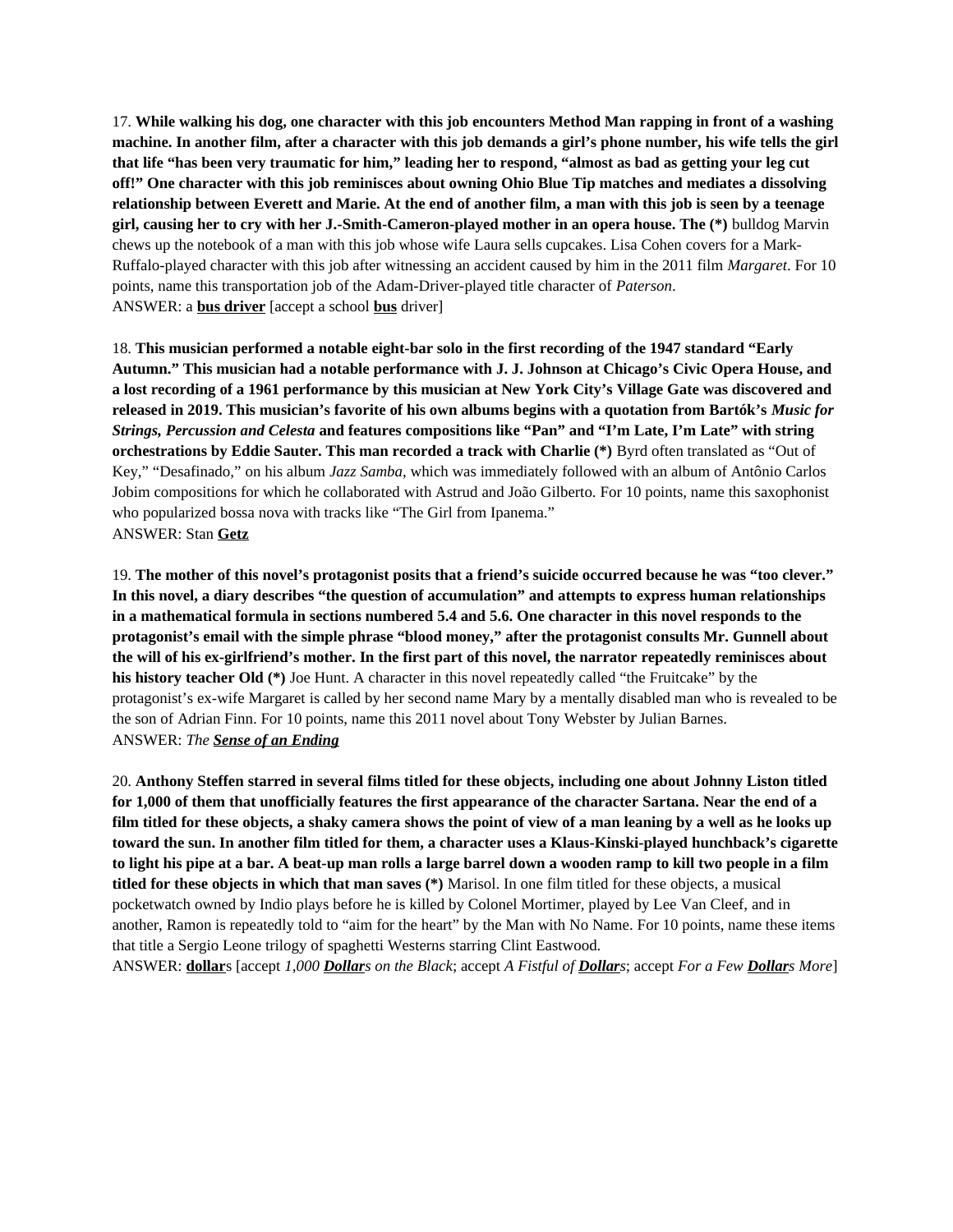17. **While walking his dog, one character with this job encounters Method Man rapping in front of a washing machine. In another film, after a character with this job demands a girl's phone number, his wife tells the girl that life "has been very traumatic for him," leading her to respond, "almost as bad as getting your leg cut off!" One character with this job reminisces about owning Ohio Blue Tip matches and mediates a dissolving relationship between Everett and Marie. At the end of another film, a man with this job is seen by a teenage girl, causing her to cry with her J.-Smith-Cameron-played mother in an opera house. The (\*)** bulldog Marvin chews up the notebook of a man with this job whose wife Laura sells cupcakes. Lisa Cohen covers for a Mark-Ruffalo-played character with this job after witnessing an accident caused by him in the 2011 film *Margaret*. For 10 points, name this transportation job of the Adam-Driver-played title character of *Paterson*. ANSWER: a **bus driver** [accept a school **bus** driver]

18. **This musician performed a notable eight-bar solo in the first recording of the 1947 standard "Early Autumn." This musician had a notable performance with J. J. Johnson at Chicago's Civic Opera House, and a lost recording of a 1961 performance by this musician at New York City's Village Gate was discovered and released in 2019. This musician's favorite of his own albums begins with a quotation from Bartók's** *Music for Strings, Percussion and Celesta* **and features compositions like "Pan" and "I'm Late, I'm Late" with string orchestrations by Eddie Sauter. This man recorded a track with Charlie (\*)** Byrd often translated as "Out of Key," "Desafinado," on his album *Jazz Samba*, which was immediately followed with an album of Antônio Carlos Jobim compositions for which he collaborated with Astrud and João Gilberto. For 10 points, name this saxophonist who popularized bossa nova with tracks like "The Girl from Ipanema." ANSWER: Stan **Getz**

19. **The mother of this novel's protagonist posits that a friend's suicide occurred because he was "too clever." In this novel, a diary describes "the question of accumulation" and attempts to express human relationships in a mathematical formula in sections numbered 5.4 and 5.6. One character in this novel responds to the protagonist's email with the simple phrase "blood money," after the protagonist consults Mr. Gunnell about the will of his ex-girlfriend's mother. In the first part of this novel, the narrator repeatedly reminisces about his history teacher Old (\*)** Joe Hunt. A character in this novel repeatedly called "the Fruitcake" by the protagonist's ex-wife Margaret is called by her second name Mary by a mentally disabled man who is revealed to be the son of Adrian Finn. For 10 points, name this 2011 novel about Tony Webster by Julian Barnes. ANSWER: *The Sense of an Ending*

20. **Anthony Steffen starred in several films titled for these objects, including one about Johnny Liston titled for 1,000 of them that unofficially features the first appearance of the character Sartana. Near the end of a film titled for these objects, a shaky camera shows the point of view of a man leaning by a well as he looks up toward the sun. In another film titled for them, a character uses a Klaus-Kinski-played hunchback's cigarette to light his pipe at a bar. A beat-up man rolls a large barrel down a wooden ramp to kill two people in a film titled for these objects in which that man saves (\*)** Marisol. In one film titled for these objects, a musical pocketwatch owned by Indio plays before he is killed by Colonel Mortimer, played by Lee Van Cleef, and in another, Ramon is repeatedly told to "aim for the heart" by the Man with No Name. For 10 points, name these items that title a Sergio Leone trilogy of spaghetti Westerns starring Clint Eastwood.

ANSWER: **dollar**s [accept *1,000 Dollars on the Black*; accept *A Fistful of Dollars*; accept *For a Few Dollars More*]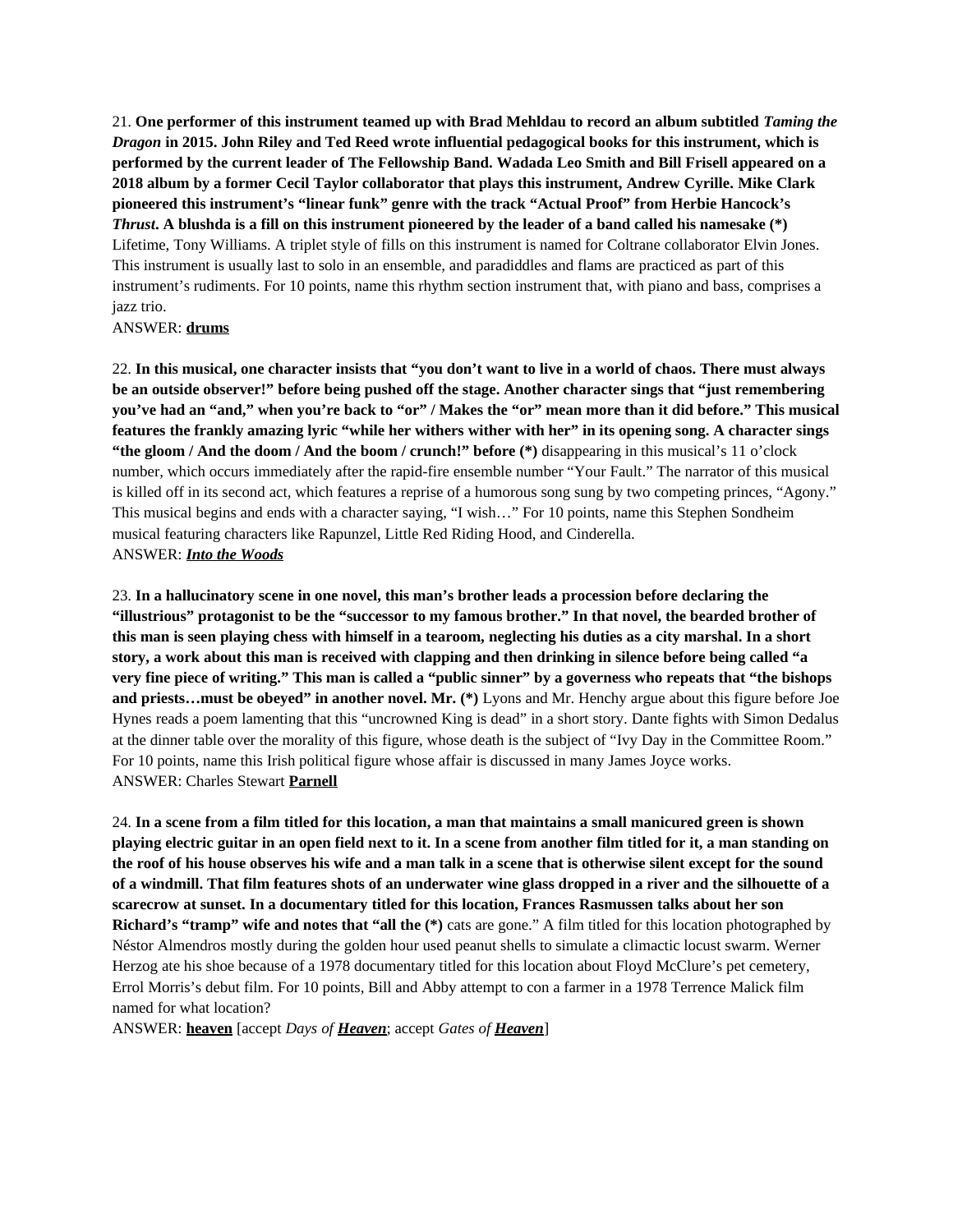21. **One performer of this instrument teamed up with Brad Mehldau to record an album subtitled** *Taming the Dragon* **in 2015. John Riley and Ted Reed wrote influential pedagogical books for this instrument, which is performed by the current leader of The Fellowship Band. Wadada Leo Smith and Bill Frisell appeared on a 2018 album by a former Cecil Taylor collaborator that plays this instrument, Andrew Cyrille. Mike Clark pioneered this instrument's "linear funk" genre with the track "Actual Proof" from Herbie Hancock's**  *Thrust***. A blushda is a fill on this instrument pioneered by the leader of a band called his namesake (\*)**  Lifetime, Tony Williams. A triplet style of fills on this instrument is named for Coltrane collaborator Elvin Jones. This instrument is usually last to solo in an ensemble, and paradiddles and flams are practiced as part of this instrument's rudiments. For 10 points, name this rhythm section instrument that, with piano and bass, comprises a jazz trio.

## ANSWER: **drums**

22. **In this musical, one character insists that "you don't want to live in a world of chaos. There must always be an outside observer!" before being pushed off the stage. Another character sings that "just remembering you've had an "and," when you're back to "or" / Makes the "or" mean more than it did before." This musical features the frankly amazing lyric "while her withers wither with her" in its opening song. A character sings "the gloom / And the doom / And the boom / crunch!" before (\*)** disappearing in this musical's 11 o'clock number, which occurs immediately after the rapid-fire ensemble number "Your Fault." The narrator of this musical is killed off in its second act, which features a reprise of a humorous song sung by two competing princes, "Agony." This musical begins and ends with a character saying, "I wish…" For 10 points, name this Stephen Sondheim musical featuring characters like Rapunzel, Little Red Riding Hood, and Cinderella. ANSWER: *Into the Woods*

23. **In a hallucinatory scene in one novel, this man's brother leads a procession before declaring the "illustrious" protagonist to be the "successor to my famous brother." In that novel, the bearded brother of this man is seen playing chess with himself in a tearoom, neglecting his duties as a city marshal. In a short story, a work about this man is received with clapping and then drinking in silence before being called "a very fine piece of writing." This man is called a "public sinner" by a governess who repeats that "the bishops and priests…must be obeyed" in another novel. Mr. (\*)** Lyons and Mr. Henchy argue about this figure before Joe Hynes reads a poem lamenting that this "uncrowned King is dead" in a short story. Dante fights with Simon Dedalus at the dinner table over the morality of this figure, whose death is the subject of "Ivy Day in the Committee Room." For 10 points, name this Irish political figure whose affair is discussed in many James Joyce works. ANSWER: Charles Stewart **Parnell**

24. **In a scene from a film titled for this location, a man that maintains a small manicured green is shown playing electric guitar in an open field next to it. In a scene from another film titled for it, a man standing on the roof of his house observes his wife and a man talk in a scene that is otherwise silent except for the sound of a windmill. That film features shots of an underwater wine glass dropped in a river and the silhouette of a scarecrow at sunset. In a documentary titled for this location, Frances Rasmussen talks about her son Richard's "tramp" wife and notes that "all the (\*)** cats are gone." A film titled for this location photographed by Néstor Almendros mostly during the golden hour used peanut shells to simulate a climactic locust swarm. Werner Herzog ate his shoe because of a 1978 documentary titled for this location about Floyd McClure's pet cemetery, Errol Morris's debut film. For 10 points, Bill and Abby attempt to con a farmer in a 1978 Terrence Malick film named for what location?

ANSWER: **heaven** [accept *Days of Heaven*; accept *Gates of Heaven*]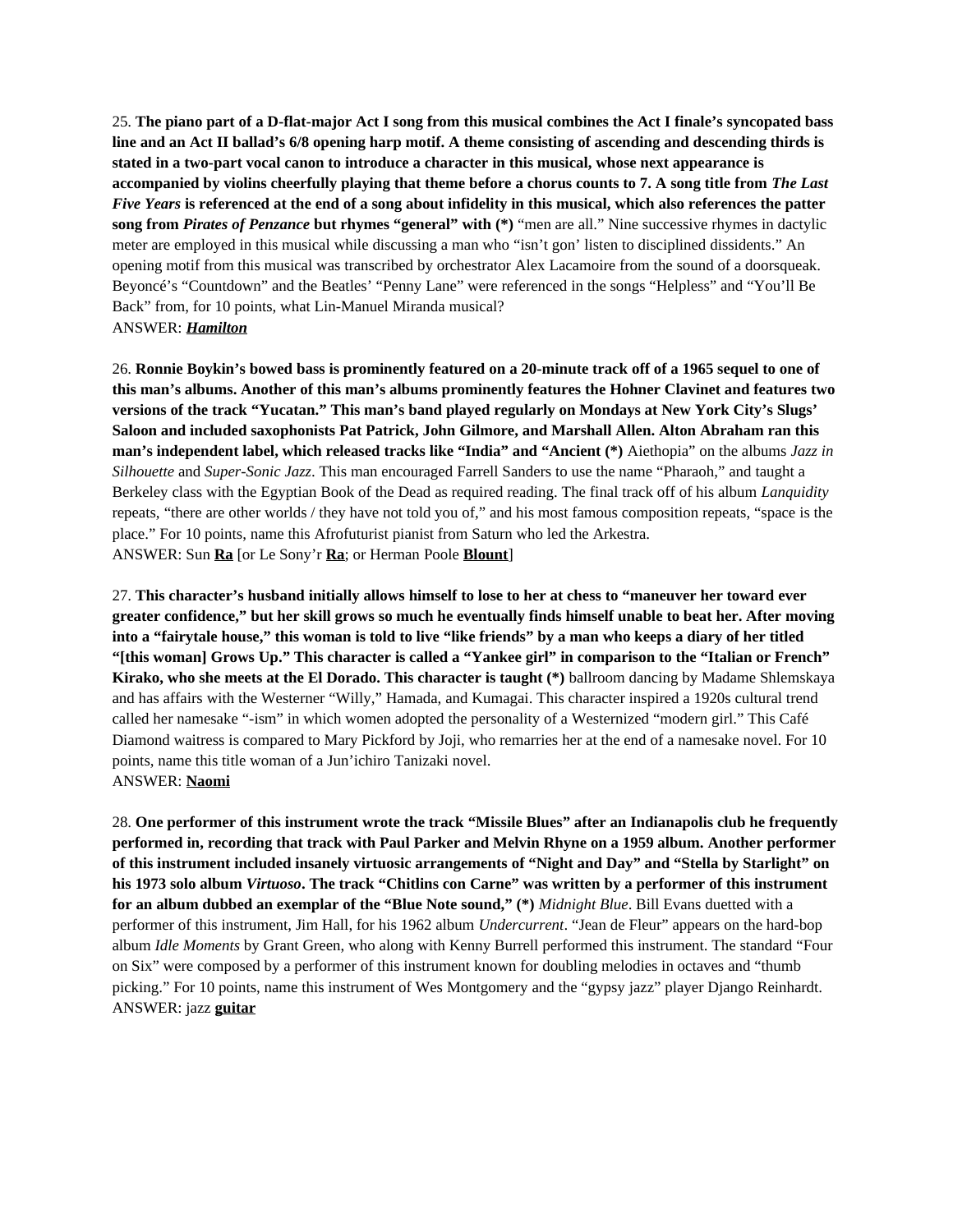25. **The piano part of a D-flat-major Act I song from this musical combines the Act I finale's syncopated bass line and an Act II ballad's 6/8 opening harp motif. A theme consisting of ascending and descending thirds is stated in a two-part vocal canon to introduce a character in this musical, whose next appearance is accompanied by violins cheerfully playing that theme before a chorus counts to 7. A song title from** *The Last Five Years* **is referenced at the end of a song about infidelity in this musical, which also references the patter song from** *Pirates of Penzance* **but rhymes "general" with (\*)** "men are all." Nine successive rhymes in dactylic meter are employed in this musical while discussing a man who "isn't gon' listen to disciplined dissidents." An opening motif from this musical was transcribed by orchestrator Alex Lacamoire from the sound of a doorsqueak. Beyoncé's "Countdown" and the Beatles' "Penny Lane" were referenced in the songs "Helpless" and "You'll Be Back" from, for 10 points, what Lin-Manuel Miranda musical? ANSWER: *Hamilton*

26. **Ronnie Boykin's bowed bass is prominently featured on a 20-minute track off of a 1965 sequel to one of this man's albums. Another of this man's albums prominently features the Hohner Clavinet and features two versions of the track "Yucatan." This man's band played regularly on Mondays at New York City's Slugs' Saloon and included saxophonists Pat Patrick, John Gilmore, and Marshall Allen. Alton Abraham ran this man's independent label, which released tracks like "India" and "Ancient (\*)** Aiethopia" on the albums *Jazz in Silhouette* and *Super-Sonic Jazz*. This man encouraged Farrell Sanders to use the name "Pharaoh," and taught a Berkeley class with the Egyptian Book of the Dead as required reading. The final track off of his album *Lanquidity* repeats, "there are other worlds / they have not told you of," and his most famous composition repeats, "space is the place." For 10 points, name this Afrofuturist pianist from Saturn who led the Arkestra. ANSWER: Sun **Ra** [or Le Sony'r **Ra**; or Herman Poole **Blount**]

27. **This character's husband initially allows himself to lose to her at chess to "maneuver her toward ever greater confidence," but her skill grows so much he eventually finds himself unable to beat her. After moving into a "fairytale house," this woman is told to live "like friends" by a man who keeps a diary of her titled "[this woman] Grows Up." This character is called a "Yankee girl" in comparison to the "Italian or French" Kirako, who she meets at the El Dorado. This character is taught (\*)** ballroom dancing by Madame Shlemskaya and has affairs with the Westerner "Willy," Hamada, and Kumagai. This character inspired a 1920s cultural trend called her namesake "-ism" in which women adopted the personality of a Westernized "modern girl." This Café Diamond waitress is compared to Mary Pickford by Joji, who remarries her at the end of a namesake novel. For 10 points, name this title woman of a Jun'ichiro Tanizaki novel. ANSWER: **Naomi**

28. **One performer of this instrument wrote the track "Missile Blues" after an Indianapolis club he frequently performed in, recording that track with Paul Parker and Melvin Rhyne on a 1959 album. Another performer of this instrument included insanely virtuosic arrangements of "Night and Day" and "Stella by Starlight" on his 1973 solo album** *Virtuoso***. The track "Chitlins con Carne" was written by a performer of this instrument for an album dubbed an exemplar of the "Blue Note sound," (\*)** *Midnight Blue*. Bill Evans duetted with a performer of this instrument, Jim Hall, for his 1962 album *Undercurrent*. "Jean de Fleur" appears on the hard-bop album *Idle Moments* by Grant Green, who along with Kenny Burrell performed this instrument. The standard "Four on Six" were composed by a performer of this instrument known for doubling melodies in octaves and "thumb picking." For 10 points, name this instrument of Wes Montgomery and the "gypsy jazz" player Django Reinhardt. ANSWER: jazz **guitar**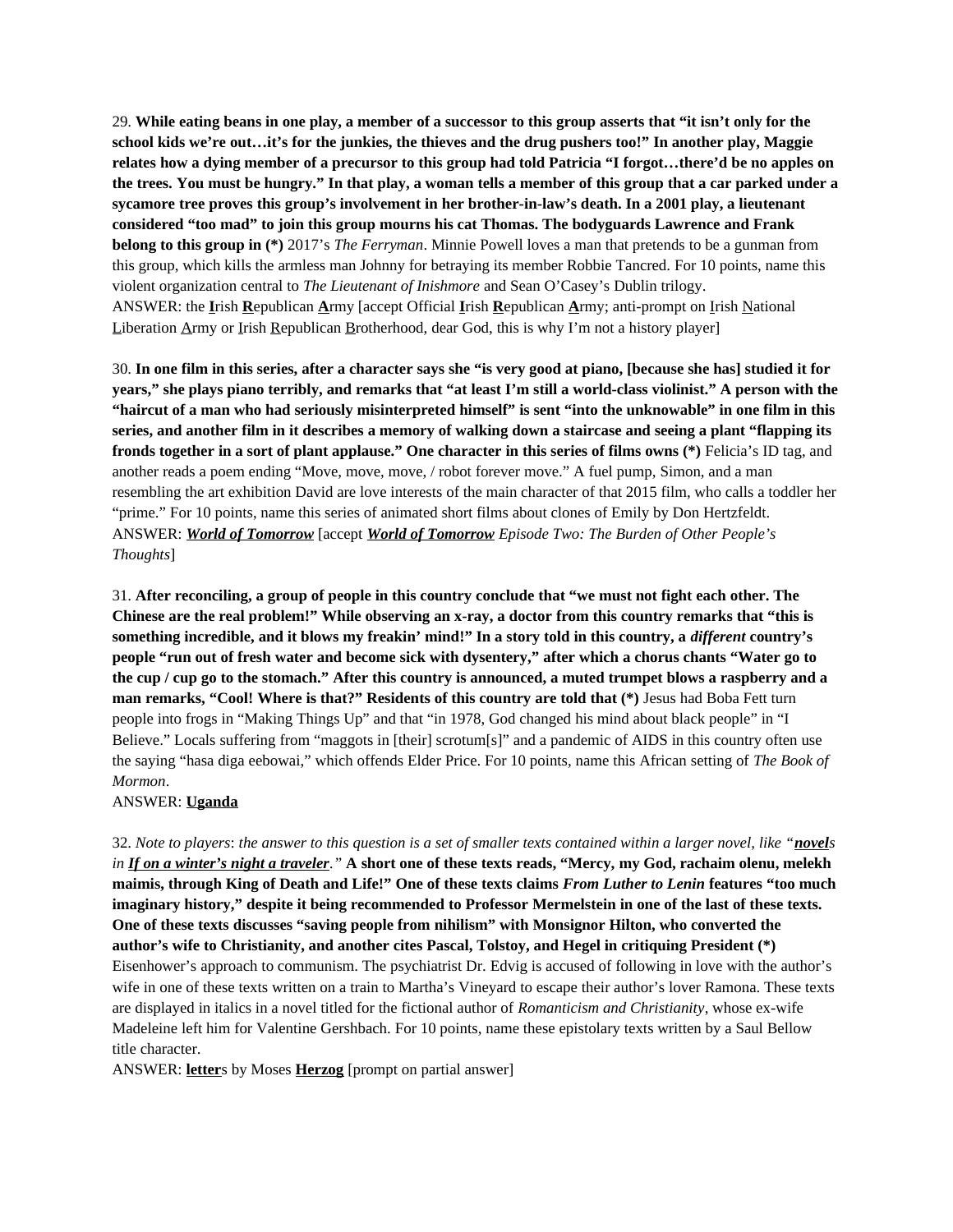29. **While eating beans in one play, a member of a successor to this group asserts that "it isn't only for the school kids we're out…it's for the junkies, the thieves and the drug pushers too!" In another play, Maggie relates how a dying member of a precursor to this group had told Patricia "I forgot…there'd be no apples on the trees. You must be hungry." In that play, a woman tells a member of this group that a car parked under a sycamore tree proves this group's involvement in her brother-in-law's death. In a 2001 play, a lieutenant considered "too mad" to join this group mourns his cat Thomas. The bodyguards Lawrence and Frank belong to this group in (\*)** 2017's *The Ferryman*. Minnie Powell loves a man that pretends to be a gunman from this group, which kills the armless man Johnny for betraying its member Robbie Tancred. For 10 points, name this violent organization central to *The Lieutenant of Inishmore* and Sean O'Casey's Dublin trilogy. ANSWER: the **I**rish **R**epublican **A**rmy [accept Official **I**rish **R**epublican **A**rmy; anti-prompt on Irish National Liberation Army or Irish Republican Brotherhood, dear God, this is why I'm not a history player]

30. **In one film in this series, after a character says she "is very good at piano, [because she has] studied it for years," she plays piano terribly, and remarks that "at least I'm still a world-class violinist." A person with the "haircut of a man who had seriously misinterpreted himself" is sent "into the unknowable" in one film in this series, and another film in it describes a memory of walking down a staircase and seeing a plant "flapping its fronds together in a sort of plant applause." One character in this series of films owns (\*)** Felicia's ID tag, and another reads a poem ending "Move, move, move, / robot forever move." A fuel pump, Simon, and a man resembling the art exhibition David are love interests of the main character of that 2015 film, who calls a toddler her "prime." For 10 points, name this series of animated short films about clones of Emily by Don Hertzfeldt. ANSWER: *World of Tomorrow* [accept *World of Tomorrow Episode Two: The Burden of Other People's Thoughts*]

31. **After reconciling, a group of people in this country conclude that "we must not fight each other. The Chinese are the real problem!" While observing an x-ray, a doctor from this country remarks that "this is something incredible, and it blows my freakin' mind!" In a story told in this country, a** *different* **country's people "run out of fresh water and become sick with dysentery," after which a chorus chants "Water go to the cup / cup go to the stomach." After this country is announced, a muted trumpet blows a raspberry and a man remarks, "Cool! Where is that?" Residents of this country are told that (\*)** Jesus had Boba Fett turn people into frogs in "Making Things Up" and that "in 1978, God changed his mind about black people" in "I Believe." Locals suffering from "maggots in [their] scrotum[s]" and a pandemic of AIDS in this country often use the saying "hasa diga eebowai," which offends Elder Price. For 10 points, name this African setting of *The Book of Mormon*.

ANSWER: **Uganda**

32. *Note to players*: *the answer to this question is a set of smaller texts contained within a larger novel, like "novels in If on a winter's night a traveler."* **A short one of these texts reads, "Mercy, my God, rachaim olenu, melekh maimis, through King of Death and Life!" One of these texts claims** *From Luther to Lenin* **features "too much imaginary history," despite it being recommended to Professor Mermelstein in one of the last of these texts. One of these texts discusses "saving people from nihilism" with Monsignor Hilton, who converted the author's wife to Christianity, and another cites Pascal, Tolstoy, and Hegel in critiquing President (\*)** Eisenhower's approach to communism. The psychiatrist Dr. Edvig is accused of following in love with the author's wife in one of these texts written on a train to Martha's Vineyard to escape their author's lover Ramona. These texts are displayed in italics in a novel titled for the fictional author of *Romanticism and Christianity*, whose ex-wife Madeleine left him for Valentine Gershbach. For 10 points, name these epistolary texts written by a Saul Bellow title character.

ANSWER: **letter**s by Moses **Herzog** [prompt on partial answer]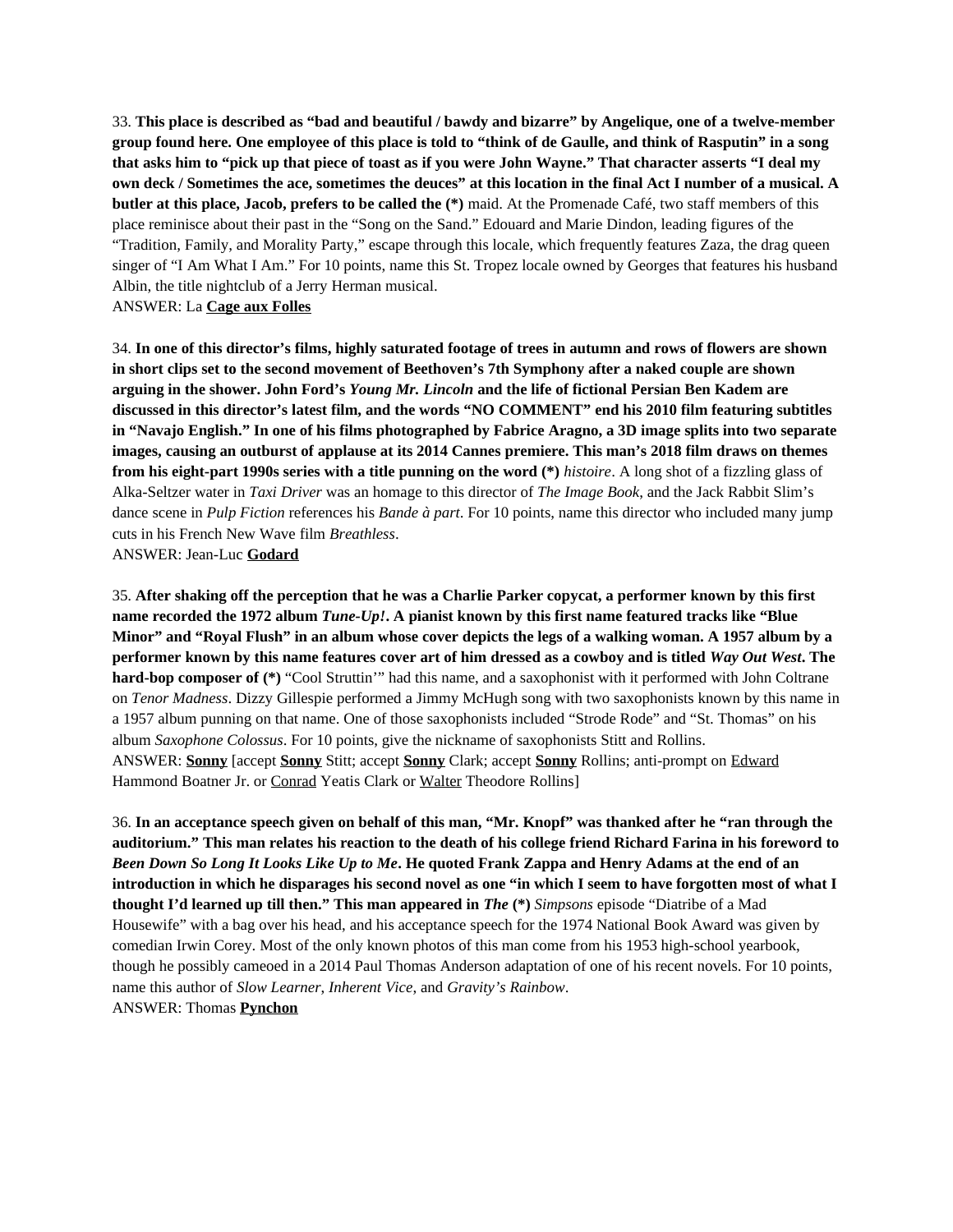33. **This place is described as "bad and beautiful / bawdy and bizarre" by Angelique, one of a twelve-member group found here. One employee of this place is told to "think of de Gaulle, and think of Rasputin" in a song that asks him to "pick up that piece of toast as if you were John Wayne." That character asserts "I deal my own deck / Sometimes the ace, sometimes the deuces" at this location in the final Act I number of a musical. A butler at this place, Jacob, prefers to be called the (\*)** maid. At the Promenade Café, two staff members of this place reminisce about their past in the "Song on the Sand." Edouard and Marie Dindon, leading figures of the "Tradition, Family, and Morality Party," escape through this locale, which frequently features Zaza, the drag queen singer of "I Am What I Am." For 10 points, name this St. Tropez locale owned by Georges that features his husband Albin, the title nightclub of a Jerry Herman musical.

ANSWER: La **Cage aux Folles**

34. **In one of this director's films, highly saturated footage of trees in autumn and rows of flowers are shown in short clips set to the second movement of Beethoven's 7th Symphony after a naked couple are shown arguing in the shower. John Ford's** *Young Mr. Lincoln* **and the life of fictional Persian Ben Kadem are discussed in this director's latest film, and the words "NO COMMENT" end his 2010 film featuring subtitles in "Navajo English." In one of his films photographed by Fabrice Aragno, a 3D image splits into two separate images, causing an outburst of applause at its 2014 Cannes premiere. This man's 2018 film draws on themes from his eight-part 1990s series with a title punning on the word (\*)** *histoire*. A long shot of a fizzling glass of Alka-Seltzer water in *Taxi Driver* was an homage to this director of *The Image Book*, and the Jack Rabbit Slim's dance scene in *Pulp Fiction* references his *Bande à part*. For 10 points, name this director who included many jump cuts in his French New Wave film *Breathless*. ANSWER: Jean-Luc **Godard**

35. **After shaking off the perception that he was a Charlie Parker copycat, a performer known by this first name recorded the 1972 album** *Tune-Up!***. A pianist known by this first name featured tracks like "Blue Minor" and "Royal Flush" in an album whose cover depicts the legs of a walking woman. A 1957 album by a performer known by this name features cover art of him dressed as a cowboy and is titled** *Way Out West***. The hard-bop composer of (\*)** "Cool Struttin'" had this name, and a saxophonist with it performed with John Coltrane on *Tenor Madness*. Dizzy Gillespie performed a Jimmy McHugh song with two saxophonists known by this name in a 1957 album punning on that name. One of those saxophonists included "Strode Rode" and "St. Thomas" on his album *Saxophone Colossus*. For 10 points, give the nickname of saxophonists Stitt and Rollins. ANSWER: **Sonny** [accept **Sonny** Stitt; accept **Sonny** Clark; accept **Sonny** Rollins; anti-prompt on Edward Hammond Boatner Jr. or Conrad Yeatis Clark or Walter Theodore Rollins]

36. **In an acceptance speech given on behalf of this man, "Mr. Knopf" was thanked after he "ran through the auditorium." This man relates his reaction to the death of his college friend Richard Farina in his foreword to** *Been Down So Long It Looks Like Up to Me***. He quoted Frank Zappa and Henry Adams at the end of an introduction in which he disparages his second novel as one "in which I seem to have forgotten most of what I thought I'd learned up till then." This man appeared in** *The* **(\*)** *Simpsons* episode "Diatribe of a Mad Housewife" with a bag over his head, and his acceptance speech for the 1974 National Book Award was given by comedian Irwin Corey. Most of the only known photos of this man come from his 1953 high-school yearbook, though he possibly cameoed in a 2014 Paul Thomas Anderson adaptation of one of his recent novels. For 10 points, name this author of *Slow Learner*, *Inherent Vice*, and *Gravity's Rainbow*. ANSWER: Thomas **Pynchon**